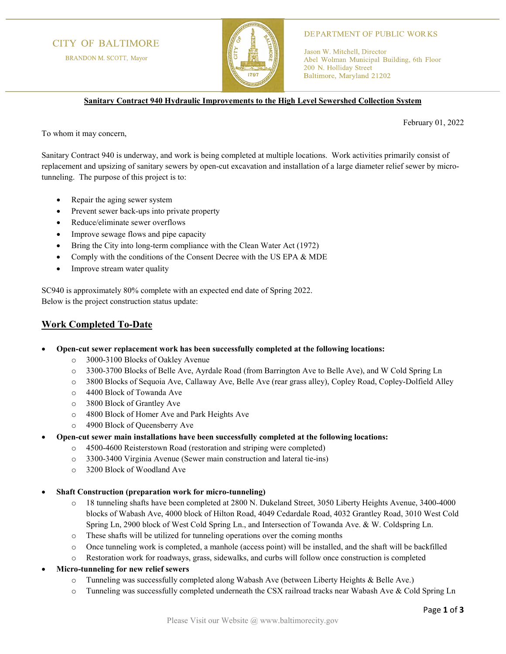# **CITY OF BALTIMORE**

BRANDON M. SCOTT, Mayor



#### **DEPARTMENT OF PUBLIC WORKS**

Jason W. Mitchell, Director Abel Wolman Municipal Building, 6th Floor 200 N. Holliday Street Baltimore, Maryland 21202

**Sanitary Contract 940 Hydraulic Improvements to the High Level Sewershed Collection System**

February 01, 2022

To whom it may concern,

Sanitary Contract 940 is underway, and work is being completed at multiple locations. Work activities primarily consist of replacement and upsizing of sanitary sewers by open-cut excavation and installation of a large diameter relief sewer by microtunneling. The purpose of this project is to:

- Repair the aging sewer system
- Prevent sewer back-ups into private property
- Reduce/eliminate sewer overflows
- Improve sewage flows and pipe capacity
- Bring the City into long-term compliance with the Clean Water Act (1972)
- Comply with the conditions of the Consent Decree with the US EPA & MDE
- Improve stream water quality

SC940 is approximately 80% complete with an expected end date of Spring 2022. Below is the project construction status update:

### **Work Completed To-Date**

- **Open-cut sewer replacement work has been successfully completed at the following locations:**
	- o 3000-3100 Blocks of Oakley Avenue
	- o 3300-3700 Blocks of Belle Ave, Ayrdale Road (from Barrington Ave to Belle Ave), and W Cold Spring Ln
	- o 3800 Blocks of Sequoia Ave, Callaway Ave, Belle Ave (rear grass alley), Copley Road, Copley-Dolfield Alley
	- o 4400 Block of Towanda Ave
	- o 3800 Block of Grantley Ave
	- o 4800 Block of Homer Ave and Park Heights Ave
	- o 4900 Block of Queensberry Ave
- **Open-cut sewer main installations have been successfully completed at the following locations:**
	- o 4500-4600 Reisterstown Road (restoration and striping were completed)
	- o 3300-3400 Virginia Avenue (Sewer main construction and lateral tie-ins)
	- o 3200 Block of Woodland Ave
- **Shaft Construction (preparation work for micro-tunneling)**
	- o 18 tunneling shafts have been completed at 2800 N. Dukeland Street, 3050 Liberty Heights Avenue, 3400-4000 blocks of Wabash Ave, 4000 block of Hilton Road, 4049 Cedardale Road, 4032 Grantley Road, 3010 West Cold Spring Ln, 2900 block of West Cold Spring Ln., and Intersection of Towanda Ave. & W. Coldspring Ln.
	- o These shafts will be utilized for tunneling operations over the coming months
	- o Once tunneling work is completed, a manhole (access point) will be installed, and the shaft will be backfilled
	- o Restoration work for roadways, grass, sidewalks, and curbs will follow once construction is completed
- **Micro-tunneling for new relief sewers**
	- o Tunneling was successfully completed along Wabash Ave (between Liberty Heights & Belle Ave.)
	- o Tunneling was successfully completed underneath the CSX railroad tracks near Wabash Ave & Cold Spring Ln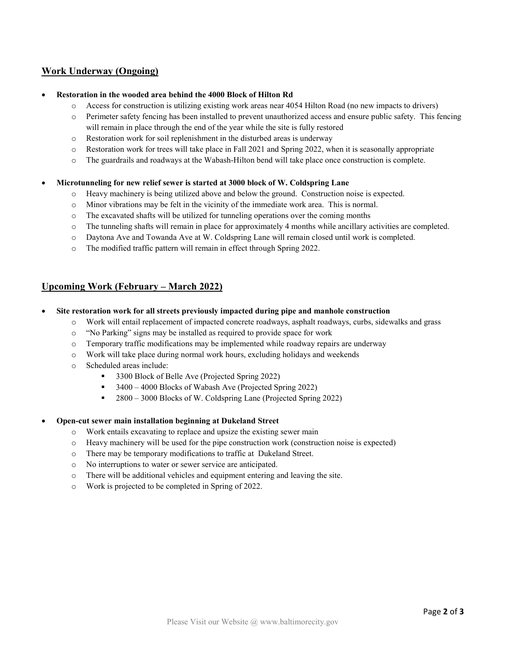# **Work Underway (Ongoing)**

### • **Restoration in the wooded area behind the 4000 Block of Hilton Rd**

- o Access for construction is utilizing existing work areas near 4054 Hilton Road (no new impacts to drivers)
- o Perimeter safety fencing has been installed to prevent unauthorized access and ensure public safety. This fencing will remain in place through the end of the year while the site is fully restored
- o Restoration work for soil replenishment in the disturbed areas is underway
- o Restoration work for trees will take place in Fall 2021 and Spring 2022, when it is seasonally appropriate
- o The guardrails and roadways at the Wabash-Hilton bend will take place once construction is complete.

#### • **Microtunneling for new relief sewer is started at 3000 block of W. Coldspring Lane**

- o Heavy machinery is being utilized above and below the ground. Construction noise is expected.
- o Minor vibrations may be felt in the vicinity of the immediate work area. This is normal.
- $\circ$  The excavated shafts will be utilized for tunneling operations over the coming months
- o The tunneling shafts will remain in place for approximately 4 months while ancillary activities are completed.
- o Daytona Ave and Towanda Ave at W. Coldspring Lane will remain closed until work is completed.
- o The modified traffic pattern will remain in effect through Spring 2022.

### **Upcoming Work (February – March 2022)**

- **Site restoration work for all streets previously impacted during pipe and manhole construction**
	- o Work will entail replacement of impacted concrete roadways, asphalt roadways, curbs, sidewalks and grass
	- o "No Parking" signs may be installed as required to provide space for work
	- o Temporary traffic modifications may be implemented while roadway repairs are underway
	- o Work will take place during normal work hours, excluding holidays and weekends
	- o Scheduled areas include:
		- 3300 Block of Belle Ave (Projected Spring 2022)
		- $\bullet$  3400 4000 Blocks of Wabash Ave (Projected Spring 2022)
		- 2800 3000 Blocks of W. Coldspring Lane (Projected Spring 2022)

### • **Open-cut sewer main installation beginning at Dukeland Street**

- o Work entails excavating to replace and upsize the existing sewer main
- o Heavy machinery will be used for the pipe construction work (construction noise is expected)
- o There may be temporary modifications to traffic at Dukeland Street.
- o No interruptions to water or sewer service are anticipated.
- o There will be additional vehicles and equipment entering and leaving the site.
- o Work is projected to be completed in Spring of 2022.